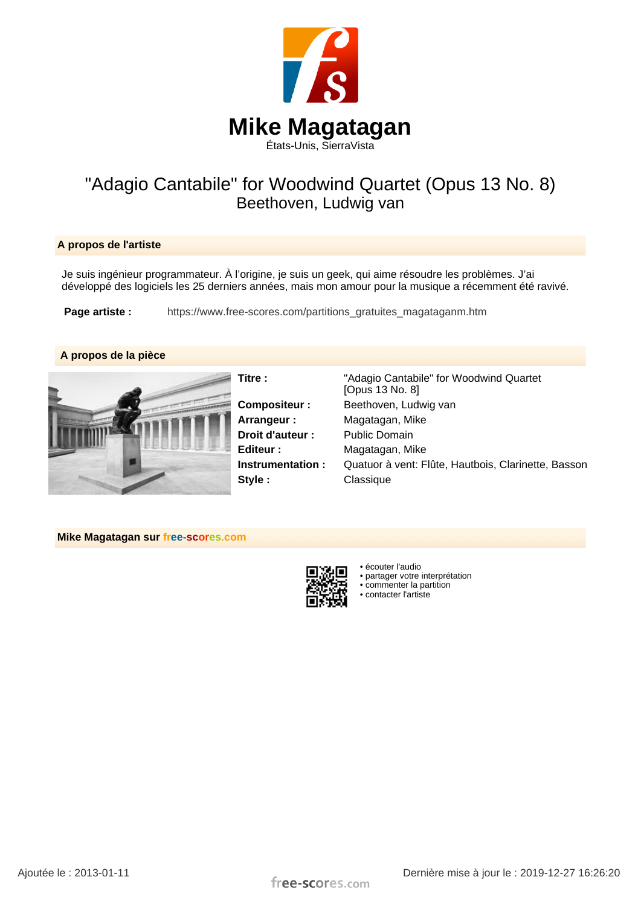

## "Adagio Cantabile" for Woodwind Quartet (Opus 13 No. 8) Beethoven, Ludwig van

## **A propos de l'artiste**

Je suis ingénieur programmateur. À l'origine, je suis un geek, qui aime résoudre les problèmes. J'ai développé des logiciels les 25 derniers années, mais mon amour pour la musique a récemment été ravivé.

**Page artiste :** https://www.free-scores.com/partitions\_gratuites\_magataganm.htm

## **A propos de la pièce**



**Arrangeur :** Magatagan, Mike **Droit d'auteur :** Public Domain **Editeur :** Magatagan, Mike Style : Classique

**Titre :** "Adagio Cantabile" for Woodwind Quartet [Opus 13 No. 8] **Compositeur :** Beethoven, Ludwig van **Instrumentation :** Quatuor à vent: Flûte, Hautbois, Clarinette, Basson

**Mike Magatagan sur free-scores.com**



• écouter l'audio

• partager votre interprétation • commenter la partition

- contacter l'artiste
-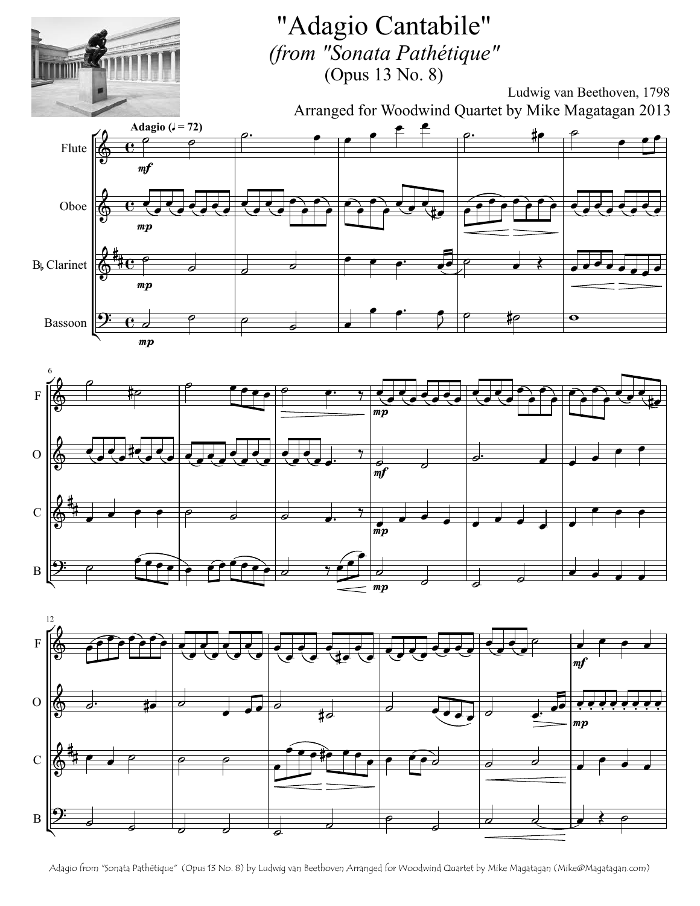

Adagio from "Sonata Pathétique" (Opus 13 No. 8) by Ludwig van Beethoven Arranged for Woodwind Quartet by Mike Magatagan (Mike@Magatagan.com)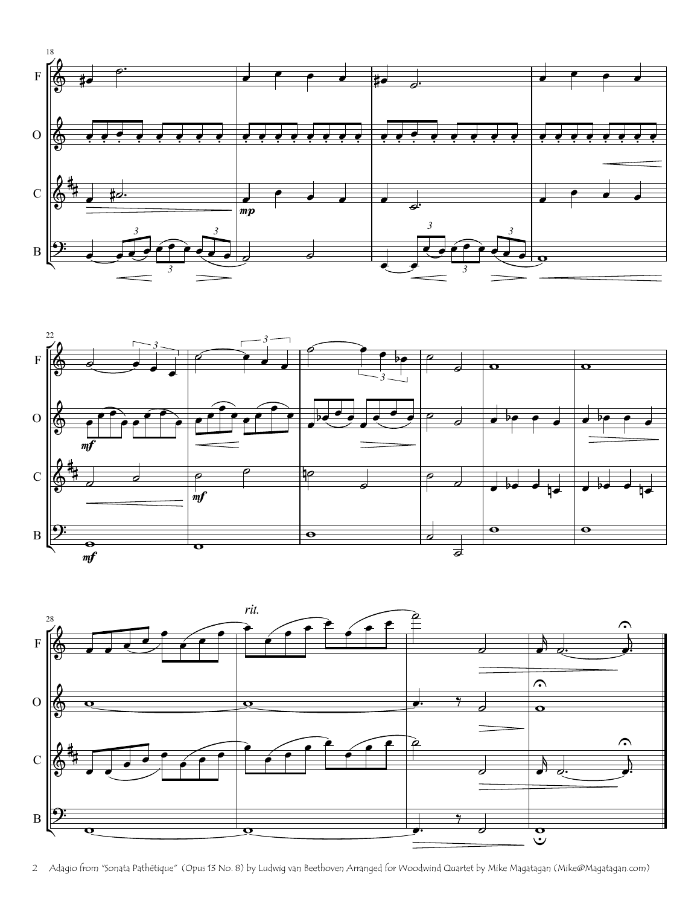





2 Adagio from "Sonata Pathétique" (Opus 13 No. 8) by Ludwig van Beethoven Arranged for Woodwind Quartet by Mike Magatagan (Mike@Magatagan.com)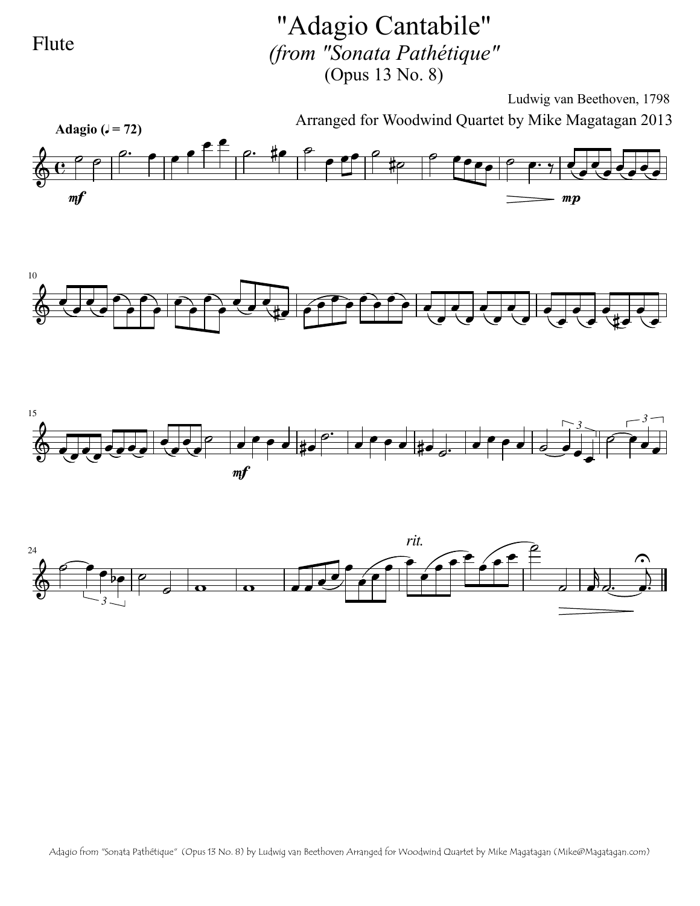ර්<br>ග

 $\overline{\phantom{a}}$ 

 $\overline{\text{O}}$   $\overline{\text{O}}$   $\overline{\text{O}}$ 

]<br>*•* 

 $\overrightarrow{ }$ 

**3**  $\frac{1}{2}$ 

Flute (from "Sonata Pathótique" "Adagio Cantabile" *(from "Sonata Pathétique"* (Opus 13 No. 8)

Ludwig van Beethoven, 1798

 $\overrightarrow{a}$ 

 $\overline{\phantom{a}}$ 

Arranged for Woodwind Quartet by Mike Magatagan 2013 **Adagio ( = 72)**

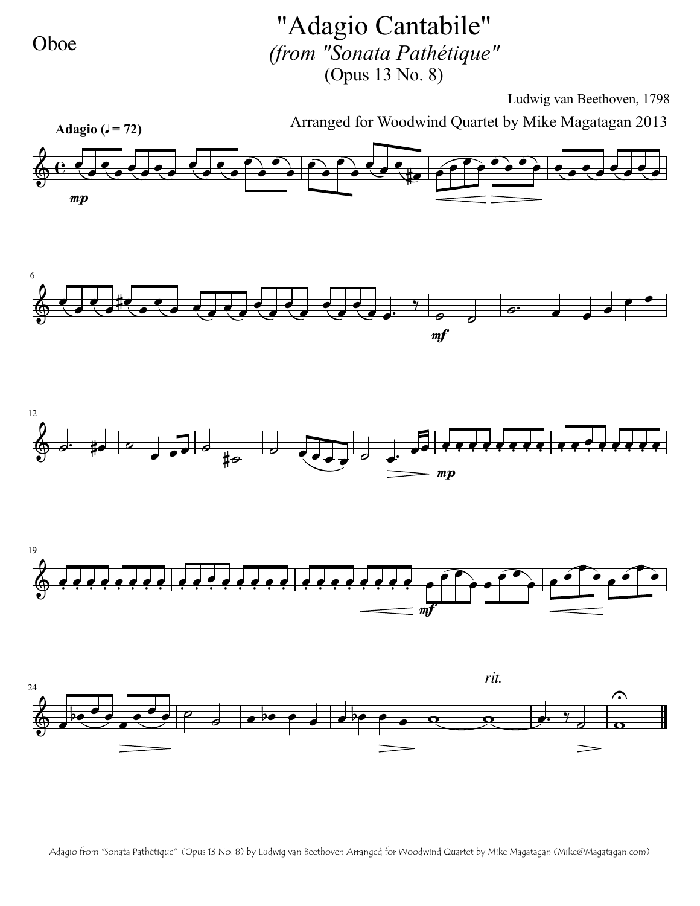## Oboe (from "Sonata Pathétique" "Adagio Cantabile" *(from "Sonata Pathétique"* (Opus 13 No. 8)

Ludwig van Beethoven, 1798

Arranged for Woodwind Quartet by Mike Magatagan 2013 **Adagio ( = 72)**

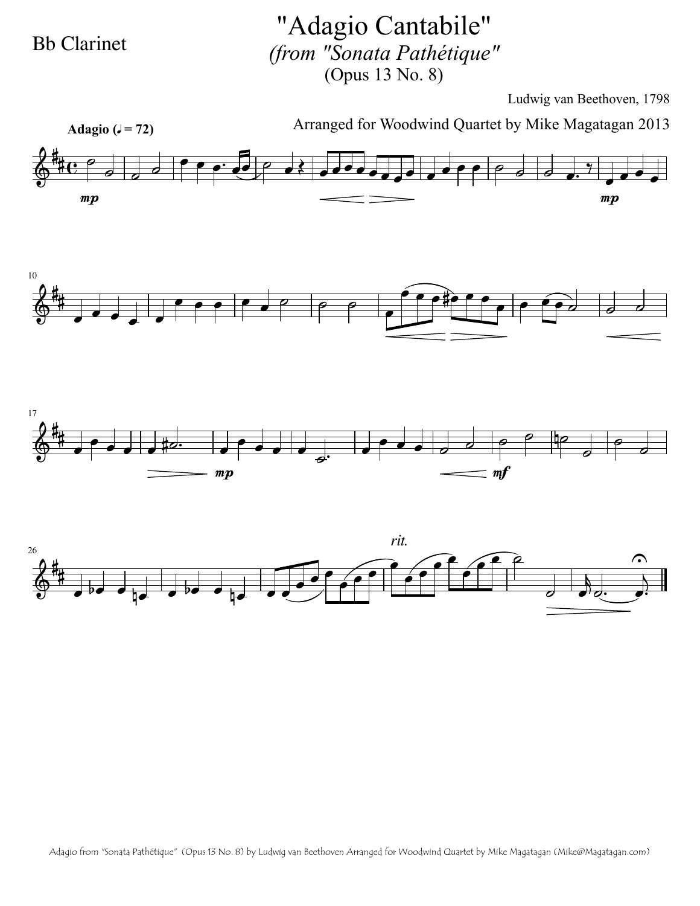$\overline{\mathsf{b}}$ 

 $\overline{\phantom{a}}$ 

i

 $\pm$  .

 $\overline{5}$ 

 $\overline{\phantom{a}}$ 

i

 $\overline{\phantom{a}}$ 

 $\overline{\phantom{a}}$ 

Bb Clarinet (from "Sonata Pathétique" "Adagio Cantabile" *(from "Sonata Pathétique"* (Opus 13 No. 8)

Ludwig van Beethoven, 1798

 $\overrightarrow{c}$  . .

 $\overline{\phantom{a}}$ 



Adagio from "Sonata Pathétique" (Opus 13 No. 8) by Ludwig van Beethoven Arranged for Woodwind Quartet by Mike Magatagan (Mike@Magatagan.com)